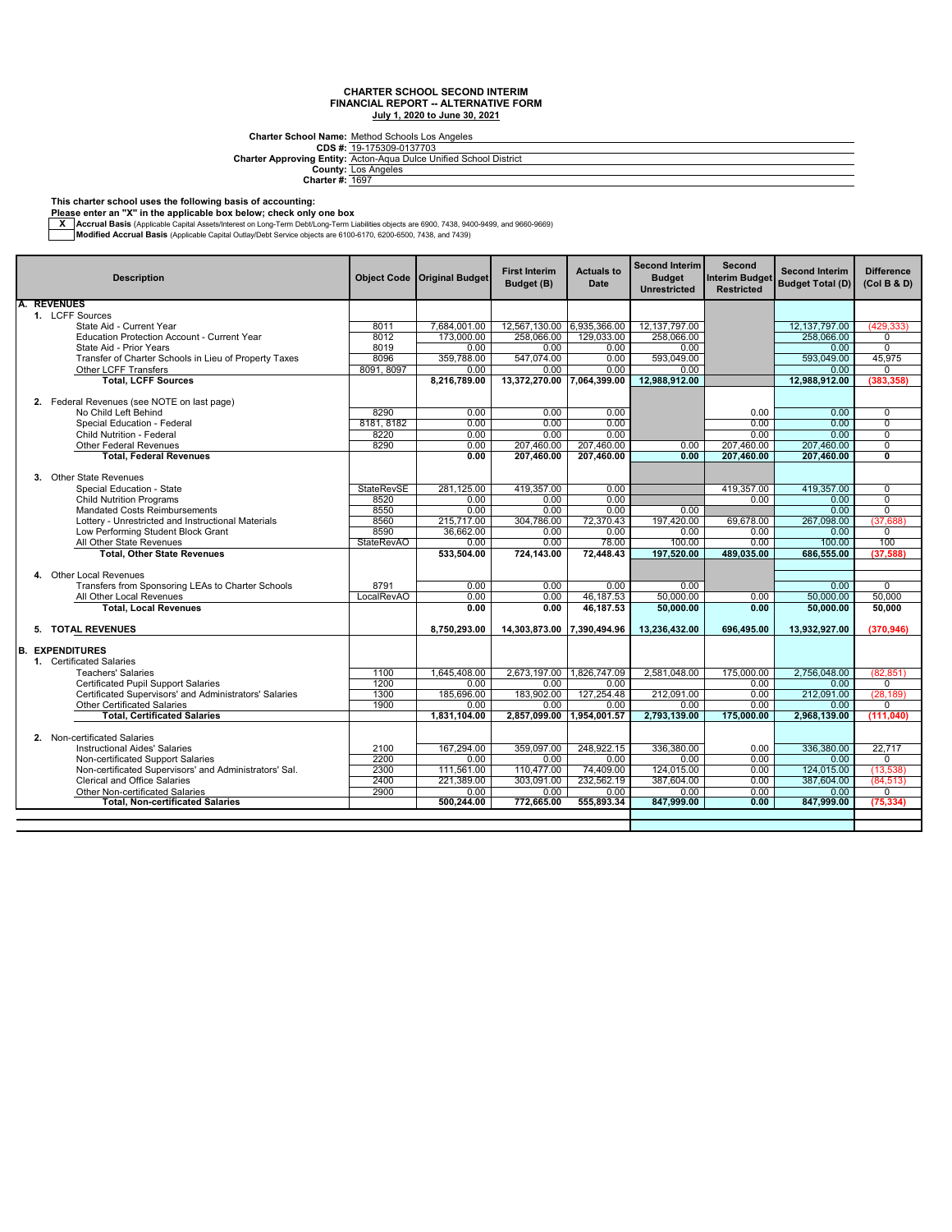**CDS #: Charter Approving Entity:** Charter School Name: <u>Method Schools Los Angeles</u><br>CDS #: <u>19-175309-0137703</u><br>Inter Approving Entity: <u>Acton-Aqua Dulce Unified School District.</u>

**County: Charter #:** Los Angeles 1697

**This charter school uses the following basis of accounting: Please enter an "X" in the applicable box below; check only one box**

— Accrual Basis (Applicable Capital Assets/Interest on Long-Term Debt/Long-Term Liabilities objects are 6900, 7438, 9400-9499, and 9660-9669, Architect State Internal Basis (Applicable Capital Outlay/Debt Service object

| <b>Description</b>                                    |                                                                 | <b>Object Code</b> | <b>Original Budget</b> | <b>First Interim</b><br>Budget (B) | <b>Actuals to</b><br>Date | <b>Second Interim</b><br><b>Budget</b><br><b>Unrestricted</b> | Second<br><b>Interim Budget</b><br><b>Restricted</b> | <b>Second Interim</b><br><b>Budget Total (D)</b> | <b>Difference</b><br>(Col B & D)          |
|-------------------------------------------------------|-----------------------------------------------------------------|--------------------|------------------------|------------------------------------|---------------------------|---------------------------------------------------------------|------------------------------------------------------|--------------------------------------------------|-------------------------------------------|
|                                                       | <b>REVENUES</b>                                                 |                    |                        |                                    |                           |                                                               |                                                      |                                                  |                                           |
|                                                       | 1. LCFF Sources                                                 |                    |                        |                                    |                           |                                                               |                                                      |                                                  |                                           |
|                                                       | State Aid - Current Year                                        | 8011               | 7,684,001.00           | 12,567,130.00 6,935,366.00         |                           | 12, 137, 797.00                                               |                                                      | 12,137,797.00                                    | (429, 333)                                |
|                                                       | <b>Education Protection Account - Current Year</b>              | 8012               | 173,000,00             | 258,066.00                         | 129,033.00                | 258,066.00                                                    |                                                      | 258.066.00                                       | $\Omega$                                  |
|                                                       | State Aid - Prior Years                                         | 8019               | 0.00                   | 0.00                               | 0.00                      | 0.00                                                          |                                                      | 0.00                                             | $\mathbf 0$                               |
| Transfer of Charter Schools in Lieu of Property Taxes |                                                                 | 8096               | 359,788.00             | 547.074.00                         | 0.00                      | 593.049.00                                                    |                                                      | 593.049.00                                       | 45,975                                    |
|                                                       | Other LCFF Transfers                                            | 8091, 8097         | 0.00                   | 0.00                               | 0.00                      | 0.00                                                          |                                                      | 0.00                                             | $\Omega$                                  |
|                                                       | <b>Total, LCFF Sources</b>                                      |                    | 8,216,789.00           | 13,372,270.00                      | 7,064,399.00              | 12,988,912.00                                                 |                                                      | 12,988,912.00                                    | (383, 358)                                |
|                                                       |                                                                 |                    |                        |                                    |                           |                                                               |                                                      |                                                  |                                           |
|                                                       | 2. Federal Revenues (see NOTE on last page)                     |                    |                        |                                    |                           |                                                               |                                                      |                                                  |                                           |
|                                                       | No Child Left Behind                                            | 8290               | 0.00                   | 0.00                               | 0.00                      |                                                               | 0.00                                                 | 0.00                                             | $\mathbf 0$                               |
|                                                       | Special Education - Federal                                     | 8181, 8182         | 0.00                   | 0.00                               | 0.00                      |                                                               | 0.00                                                 | 0.00                                             | $\overline{0}$                            |
|                                                       | Child Nutrition - Federal                                       | 8220               | 0.00                   | 0.00                               | 0.00                      |                                                               | 0.00                                                 | 0.00                                             | $\overline{0}$                            |
|                                                       | <b>Other Federal Revenues</b><br><b>Total, Federal Revenues</b> | 8290               | 0.00<br>0.00           | 207.460.00<br>207.460.00           | 207.460.00<br>207.460.00  | 0.00<br>0.00                                                  | 207.460.00<br>207,460.00                             | 207.460.00<br>207,460.00                         | $\overline{0}$<br>$\overline{\mathbf{0}}$ |
|                                                       |                                                                 |                    |                        |                                    |                           |                                                               |                                                      |                                                  |                                           |
|                                                       | 3. Other State Revenues                                         |                    |                        |                                    |                           |                                                               |                                                      |                                                  |                                           |
|                                                       | Special Education - State                                       | StateRevSE         | 281,125.00             | 419,357.00                         | 0.00                      |                                                               | 419,357.00                                           | 419.357.00                                       | $\mathbf 0$                               |
|                                                       | <b>Child Nutrition Programs</b>                                 | 8520               | 0.00                   | 0.00                               | 0.00                      |                                                               | 0.00                                                 | 0.00                                             | $\Omega$                                  |
|                                                       | <b>Mandated Costs Reimbursements</b>                            | 8550               | 0.00                   | 0.00                               | 0.00                      | 0.00                                                          |                                                      | 0.00                                             | $\overline{0}$                            |
|                                                       | Lottery - Unrestricted and Instructional Materials              | 8560               | 215,717.00             | 304,786.00                         | 72,370.43                 | 197,420.00                                                    | 69,678.00                                            | 267,098.00                                       | (37, 688)                                 |
|                                                       | Low Performing Student Block Grant                              | 8590               | 36,662.00              | 0.00                               | 0.00                      | 0.00                                                          | 0.00                                                 | 0.00                                             | 0                                         |
|                                                       | All Other State Revenues                                        | <b>StateRevAO</b>  | 0.00                   | 0.00                               | 78.00                     | 100.00                                                        | 0.00                                                 | 100.00                                           | 100                                       |
|                                                       | <b>Total, Other State Revenues</b>                              |                    | 533,504.00             | 724.143.00                         | 72,448.43                 | 197,520.00                                                    | 489,035.00                                           | 686,555.00                                       | (37, 588)                                 |
|                                                       |                                                                 |                    |                        |                                    |                           |                                                               |                                                      |                                                  |                                           |
|                                                       | 4. Other Local Revenues                                         |                    |                        |                                    |                           |                                                               |                                                      |                                                  |                                           |
|                                                       | Transfers from Sponsoring LEAs to Charter Schools               | 8791               | 0.00                   | 0.00                               | 0.00                      | 0.00                                                          |                                                      | 0.00                                             | $\Omega$                                  |
|                                                       | All Other Local Revenues                                        | LocalRevAO         | 0.00                   | 0.00                               | 46.187.53                 | 50,000.00                                                     | 0.00                                                 | 50.000.00                                        | 50,000                                    |
|                                                       | <b>Total, Local Revenues</b>                                    |                    | 0.00                   | 0.00                               | 46.187.53                 | 50,000.00                                                     | 0.00                                                 | 50.000.00                                        | 50,000                                    |
|                                                       |                                                                 |                    |                        |                                    |                           |                                                               |                                                      |                                                  |                                           |
|                                                       | 5. TOTAL REVENUES                                               |                    | 8.750.293.00           | 14,303,873.00 7,390,494.96         |                           | 13,236,432.00                                                 | 696.495.00                                           | 13,932,927.00                                    | (370.946)                                 |
|                                                       |                                                                 |                    |                        |                                    |                           |                                                               |                                                      |                                                  |                                           |
| B.                                                    | <b>EXPENDITURES</b>                                             |                    |                        |                                    |                           |                                                               |                                                      |                                                  |                                           |
|                                                       | 1. Certificated Salaries                                        |                    |                        |                                    |                           |                                                               |                                                      |                                                  |                                           |
|                                                       | <b>Teachers' Salaries</b>                                       | 1100               | 1.645.408.00           | 2,673,197.00                       | 1,826,747.09              | 2,581,048.00                                                  | 175,000.00                                           | 2,756,048.00                                     | (82, 851)                                 |
|                                                       | <b>Certificated Pupil Support Salaries</b>                      | 1200               | 0.00                   | 0.00                               | 0.00                      |                                                               | 0.00                                                 | 0.00                                             | $\Omega$                                  |
|                                                       | Certificated Supervisors' and Administrators' Salaries          | 1300               | 185,696.00             | 183,902.00                         | 127,254.48                | 212,091.00                                                    | 0.00                                                 | 212,091.00                                       | (28, 189)                                 |
|                                                       | <b>Other Certificated Salaries</b>                              | 1900               | 0.00                   | 0.00                               | 0.00                      | 0.00                                                          | 0.00                                                 | 0.00                                             | 0                                         |
|                                                       | <b>Total, Certificated Salaries</b>                             |                    | 1,831,104.00           | 2,857,099.00                       | 1,954,001.57              | 2,793,139.00                                                  | 175,000.00                                           | 2,968,139.00                                     | (111, 040)                                |
|                                                       |                                                                 |                    |                        |                                    |                           |                                                               |                                                      |                                                  |                                           |
|                                                       | 2. Non-certificated Salaries                                    |                    |                        |                                    |                           |                                                               |                                                      |                                                  |                                           |
|                                                       | <b>Instructional Aides' Salaries</b>                            | 2100               | 167,294.00             | 359,097.00                         | 248,922.15                | 336,380.00                                                    | 0.00                                                 | 336.380.00                                       | 22,717                                    |
|                                                       | Non-certificated Support Salaries                               | 2200               | 0.00                   | 0.00                               | 0.00                      | 0.00                                                          | 0.00                                                 | 0.00                                             | $\Omega$                                  |
|                                                       | Non-certificated Supervisors' and Administrators' Sal.          | 2300               | 111,561.00             | 110,477.00                         | 74,409.00                 | 124.015.00                                                    | 0.00                                                 | 124.015.00                                       | (13, 538)                                 |
|                                                       | Clerical and Office Salaries                                    | 2400               | 221.389.00             | 303.091.00                         | 232.562.19                | 387.604.00                                                    | 0.00                                                 | 387.604.00                                       | (84, 513)                                 |
|                                                       | Other Non-certificated Salaries                                 | 2900               | $0.00 -$               | 0.00                               | 0.00                      | 0.00                                                          | 0.00                                                 | 0.00                                             | $\Omega$                                  |
|                                                       | <b>Total. Non-certificated Salaries</b>                         |                    | 500.244.00             | 772.665.00                         | 555.893.34                | 847.999.00                                                    | 0.00                                                 | 847.999.00                                       | (75, 334)                                 |
|                                                       |                                                                 |                    |                        |                                    |                           |                                                               |                                                      |                                                  |                                           |
|                                                       |                                                                 |                    |                        |                                    |                           |                                                               |                                                      |                                                  |                                           |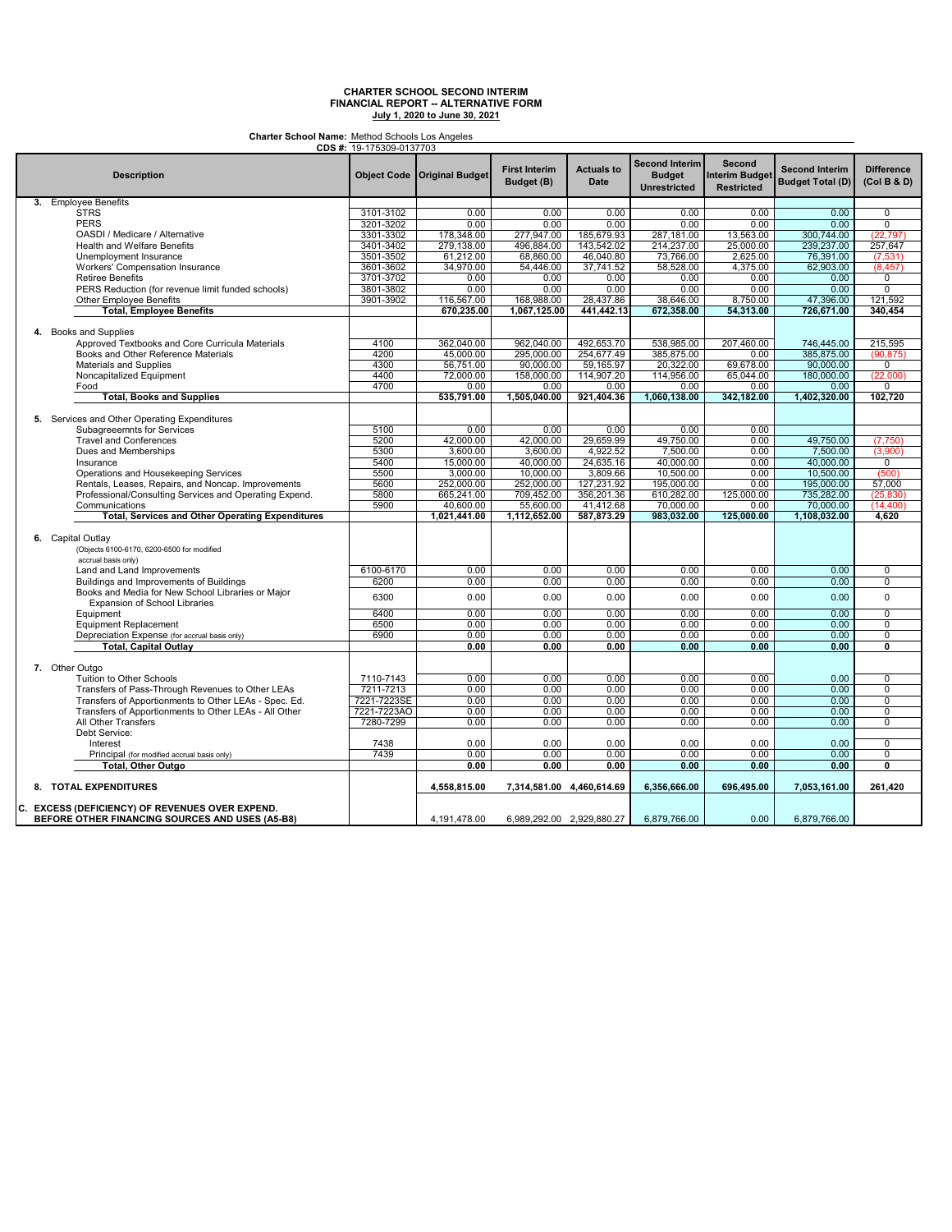**Charter School Name:** Method Schools Los Angeles

| CDS #: 19-175309-0137703                                                           |             |                             |                                    |                                  |                                                               |                                                      |                                                  |                                  |
|------------------------------------------------------------------------------------|-------------|-----------------------------|------------------------------------|----------------------------------|---------------------------------------------------------------|------------------------------------------------------|--------------------------------------------------|----------------------------------|
| <b>Description</b>                                                                 |             | Object Code Original Budget | <b>First Interim</b><br>Budget (B) | <b>Actuals to</b><br><b>Date</b> | <b>Second Interim</b><br><b>Budget</b><br><b>Unrestricted</b> | Second<br><b>Interim Budget</b><br><b>Restricted</b> | <b>Second Interim</b><br><b>Budget Total (D)</b> | <b>Difference</b><br>(Col B & D) |
| 3. Employee Benefits                                                               |             |                             |                                    |                                  |                                                               |                                                      |                                                  |                                  |
| <b>STRS</b>                                                                        | 3101-3102   | 0.00                        | 0.00                               | 0.00                             | 0.00                                                          | 0.00                                                 | 0.00                                             | 0                                |
| <b>PERS</b>                                                                        | 3201-3202   | 0.00                        | 0.00                               | 0.00                             | 0.00                                                          | 0.00                                                 | 0.00                                             | $\overline{0}$                   |
| OASDI / Medicare / Alternative                                                     | 3301-3302   | 178,348.00                  | 277,947.00                         | 185,679.93                       | 287,181.00                                                    | 13,563.00                                            | 300,744.00                                       | (22, 797)                        |
| <b>Health and Welfare Benefits</b>                                                 | 3401-3402   | 279,138.00                  | 496,884.00                         | 143,542.02                       | 214,237.00                                                    | 25,000.00                                            | 239,237.00                                       | 257,647                          |
|                                                                                    |             |                             |                                    |                                  |                                                               |                                                      |                                                  |                                  |
| Unemployment Insurance                                                             | 3501-3502   | 61,212.00                   | 68,860.00                          | 46,040.80                        | 73,766.00                                                     | 2,625.00                                             | 76,391.00                                        | (7, 531)                         |
| <b>Workers' Compensation Insurance</b>                                             | 3601-3602   | 34,970.00                   | 54,446.00                          | 37,741.52                        | 58,528.00                                                     | 4,375.00                                             | 62,903.00                                        | (8, 457)                         |
| <b>Retiree Benefits</b>                                                            | 3701-3702   | 0.00                        | 0.00                               | 0.00                             | 0.00                                                          | 0.00                                                 | 0.00                                             | 0                                |
| PERS Reduction (for revenue limit funded schools)                                  | 3801-3802   | 0.00                        | 0.00                               | 0.00                             | 0.00                                                          | 0.00                                                 | 0.00                                             | $\overline{0}$                   |
| Other Employee Benefits                                                            | 3901-3902   | 116,567.00                  | 168,988.00                         | 28,437.86                        | 38,646.00                                                     | 8,750.00                                             | 47,396.00                                        | 121,592                          |
| <b>Total, Employee Benefits</b>                                                    |             | 670,235.00                  | 1,067,125.00                       | 441.442.13                       | 672.358.00                                                    | 54.313.00                                            | 726,671.00                                       | 340.454                          |
|                                                                                    |             |                             |                                    |                                  |                                                               |                                                      |                                                  |                                  |
| 4. Books and Supplies                                                              |             |                             |                                    |                                  |                                                               |                                                      |                                                  |                                  |
| Approved Textbooks and Core Curricula Materials                                    | 4100        | 362,040.00                  | 962,040.00                         | 492,653.70                       | 538,985.00                                                    | 207,460.00                                           | 746,445.00                                       | 215,595                          |
| Books and Other Reference Materials                                                | 4200        | 45.000.00                   | 295,000.00                         | 254,677.49                       | 385,875.00                                                    | 0.00                                                 | 385.875.00                                       | (90, 875)                        |
| Materials and Supplies                                                             | 4300        | 56,751.00                   | 90,000.00                          | 59,165.97                        | 20,322.00                                                     | 69,678.00                                            | 90,000.00                                        | $\overline{0}$                   |
| Noncapitalized Equipment                                                           | 4400        | 72,000.00                   | 158,000.00                         | 114,907.20                       | 114,956.00                                                    | 65,044.00                                            | 180,000.00                                       | (22,000)                         |
| Food                                                                               | 4700        | 0.00                        | 0.00                               | 0.00                             | 0.00                                                          | 0.00                                                 | 0.00                                             | 0                                |
| <b>Total, Books and Supplies</b>                                                   |             | 535,791.00                  | 1,505,040.00                       | 921,404.36                       | 1,060,138.00                                                  | 342,182.00                                           | 1,402,320.00                                     | 102,720                          |
|                                                                                    |             |                             |                                    |                                  |                                                               |                                                      |                                                  |                                  |
| 5. Services and Other Operating Expenditures<br>Subagreeemnts for Services         | 5100        | 0.00                        | 0.00                               | 0.00                             | 0.00                                                          | 0.00                                                 |                                                  |                                  |
|                                                                                    |             |                             |                                    |                                  |                                                               |                                                      |                                                  |                                  |
| <b>Travel and Conferences</b>                                                      | 5200        | 42,000.00                   | 42,000.00                          | 29,659.99                        | 49,750.00                                                     | 0.00                                                 | 49,750.00                                        | (7,750)                          |
| Dues and Memberships                                                               | 5300        | 3,600.00                    | 3.600.00                           | 4,922.52                         | 7.500.00                                                      | 0.00                                                 | 7,500.00                                         | (3,900)                          |
| Insurance                                                                          | 5400        | 15,000.00                   | 40,000.00                          | 24,635.16                        | 40,000.00                                                     | 0.00                                                 | 40,000.00                                        | $\overline{0}$                   |
| Operations and Housekeeping Services                                               | 5500        | 3,000.00                    | 10,000.00                          | 3,809.66                         | 10,500.00                                                     | 0.00                                                 | 10,500.00                                        | (500)                            |
| Rentals, Leases, Repairs, and Noncap. Improvements                                 | 5600        | 252,000.00                  | 252,000.00                         | 127,231.92                       | 195,000.00                                                    | 0.00                                                 | 195,000.00                                       | 57,000                           |
| Professional/Consulting Services and Operating Expend.                             | 5800        | 665,241.00                  | 709,452.00                         | 356.201.36                       | 610,282.00                                                    | 125,000.00                                           | 735,282.00                                       | (25, 830)                        |
| Communications                                                                     | 5900        | 40,600.00                   | 55,600.00                          | 41,412.68                        | 70,000.00                                                     | 0.00                                                 | 70,000.00                                        | (14, 400)                        |
| <b>Total, Services and Other Operating Expenditures</b>                            |             | 1,021,441.00                | 1,112,652.00                       | 587,873.29                       | 983,032.00                                                    | 125,000.00                                           | 1,108,032.00                                     | 4,620                            |
|                                                                                    |             |                             |                                    |                                  |                                                               |                                                      |                                                  |                                  |
| 6. Capital Outlay                                                                  |             |                             |                                    |                                  |                                                               |                                                      |                                                  |                                  |
| (Objects 6100-6170, 6200-6500 for modified                                         |             |                             |                                    |                                  |                                                               |                                                      |                                                  |                                  |
| accrual basis only)                                                                |             |                             |                                    |                                  |                                                               |                                                      |                                                  |                                  |
| Land and Land Improvements                                                         | 6100-6170   | 0.00                        | 0.00                               | 0.00                             | 0.00                                                          | 0.00                                                 | 0.00                                             | 0                                |
|                                                                                    |             |                             |                                    |                                  |                                                               |                                                      |                                                  |                                  |
| Buildings and Improvements of Buildings                                            | 6200        | 0.00                        | 0.00                               | 0.00                             | 0.00                                                          | 0.00                                                 | 0.00                                             | 0                                |
| Books and Media for New School Libraries or Major<br>Expansion of School Libraries | 6300        | 0.00                        | 0.00                               | 0.00                             | 0.00                                                          | 0.00                                                 | 0.00                                             | 0                                |
| Equipment                                                                          | 6400        | 0.00                        | 0.00                               | 0.00                             | 0.00                                                          | 0.00                                                 | 0.00                                             | $\overline{0}$                   |
| <b>Equipment Replacement</b>                                                       | 6500        | 0.00                        | 0.00                               | 0.00                             | 0.00                                                          | 0.00                                                 | 0.00                                             | 0                                |
| Depreciation Expense (for accrual basis only)                                      | 6900        | 0.00                        | 0.00                               | 0.00                             | 0.00                                                          | 0.00                                                 | 0.00                                             | 0                                |
| Total, Capital Outlay                                                              |             | 0.00                        | 0.00                               | 0.00                             | 0.00                                                          | 0.00                                                 | 0.00                                             | $\overline{0}$                   |
|                                                                                    |             |                             |                                    |                                  |                                                               |                                                      |                                                  |                                  |
| 7. Other Outgo                                                                     |             |                             |                                    |                                  |                                                               |                                                      |                                                  |                                  |
| Tuition to Other Schools                                                           | 7110-7143   | 0.00                        | 0.00                               | 0.00                             | 0.00                                                          | 0.00                                                 | 0.00                                             | 0                                |
|                                                                                    | 7211-7213   |                             |                                    | 0.00                             | 0.00                                                          | 0.00                                                 | 0.00                                             | $\overline{0}$                   |
| Transfers of Pass-Through Revenues to Other LEAs                                   |             | 0.00                        | 0.00                               | 0.00                             |                                                               |                                                      |                                                  | $\overline{0}$                   |
| Transfers of Apportionments to Other LEAs - Spec. Ed.                              | 7221-7223SE | 0.00                        | 0.00                               |                                  | 0.00                                                          | 0.00                                                 | 0.00                                             |                                  |
| Transfers of Apportionments to Other LEAs - All Other                              | 7221-7223AO | 0.00                        | 0.00                               | 0.00                             | 0.00                                                          | 0.00                                                 | 0.00                                             | 0                                |
| All Other Transfers                                                                | 7280-7299   | 0.00                        | 0.00                               | 0.00                             | 0.00                                                          | 0.00                                                 | 0.00                                             | $\overline{0}$                   |
| Debt Service:                                                                      |             |                             |                                    |                                  |                                                               |                                                      |                                                  |                                  |
| Interest                                                                           | 7438        | 0.00                        | 0.00                               | 0.00                             | 0.00                                                          | 0.00                                                 | 0.00                                             | $\Omega$                         |
| Principal (for modified accrual basis only)                                        | 7439        | 0.00                        | 0.00                               | 0.00                             | 0.00                                                          | 0.00                                                 | 0.00                                             | 0                                |
| Total, Other Outgo                                                                 | 0.00        | 0.00                        | 0.00                               | 0.00                             | 0.00                                                          | 0.00                                                 | 0                                                |                                  |
| 8. TOTAL EXPENDITURES                                                              |             | 4,558,815.00                | 7,314,581.00 4,460,614.69          |                                  | 6,356,666.00                                                  | 696,495.00                                           | 7,053,161.00                                     | 261,420                          |
|                                                                                    |             |                             |                                    |                                  |                                                               |                                                      |                                                  |                                  |
| C. EXCESS (DEFICIENCY) OF REVENUES OVER EXPEND.                                    |             |                             |                                    |                                  |                                                               |                                                      |                                                  |                                  |
| BEFORE OTHER FINANCING SOURCES AND USES (A5-B8)                                    |             | 4,191,478.00                | 6,989,292.00 2,929,880.27          |                                  | 6,879,766.00                                                  | 0.00                                                 | 6,879,766.00                                     |                                  |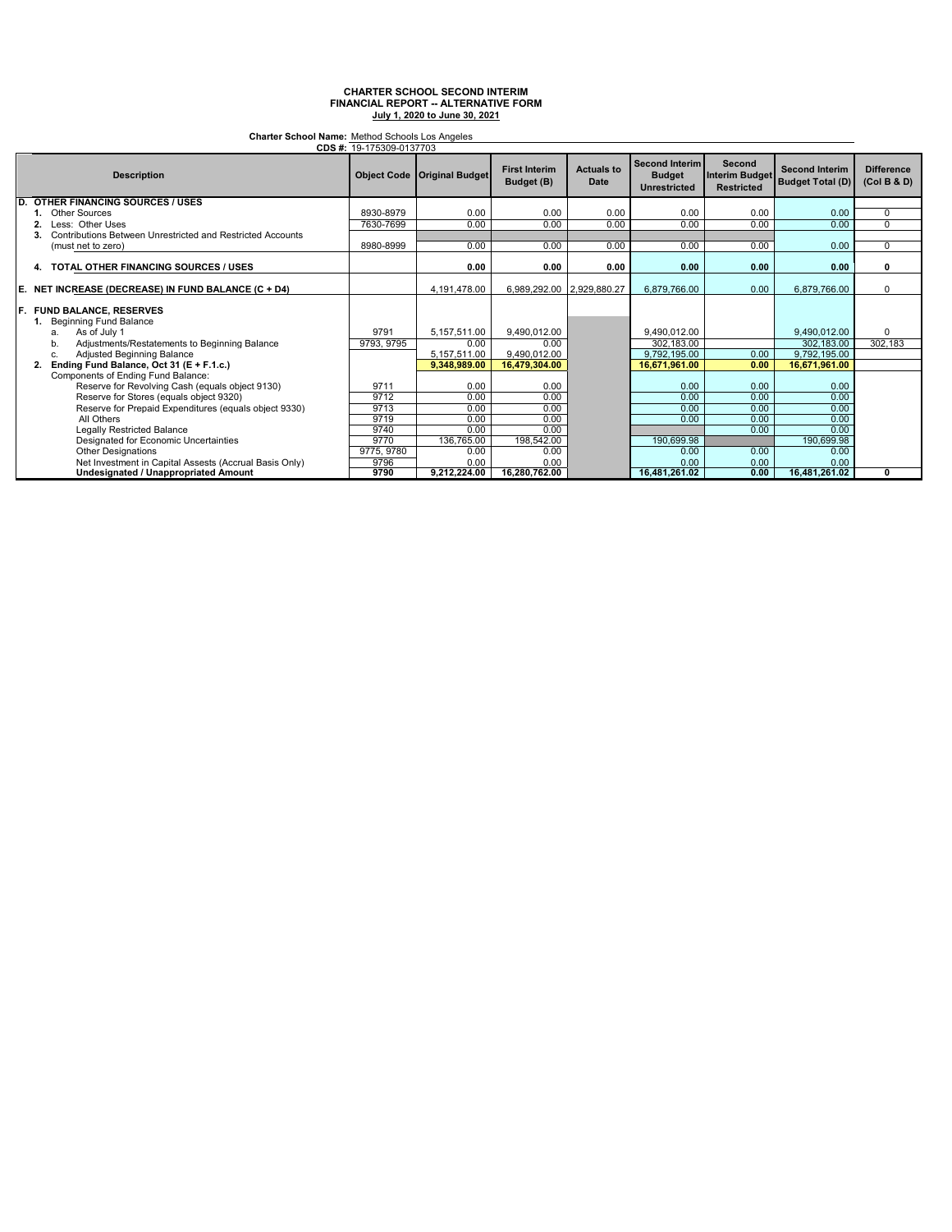**Charter School Name:** Method Schools Los Angeles

|                    | CDS #: 19-175309-0137703                                                     |            |                                      |                                    |                                  |                                                               |                                                      |                                                  |                                  |
|--------------------|------------------------------------------------------------------------------|------------|--------------------------------------|------------------------------------|----------------------------------|---------------------------------------------------------------|------------------------------------------------------|--------------------------------------------------|----------------------------------|
| <b>Description</b> |                                                                              |            | <b>Object Code   Original Budget</b> | <b>First Interim</b><br>Budget (B) | <b>Actuals to</b><br><b>Date</b> | <b>Second Interim</b><br><b>Budget</b><br><b>Unrestricted</b> | Second<br><b>Interim Budget</b><br><b>Restricted</b> | <b>Second Interim</b><br><b>Budget Total (D)</b> | <b>Difference</b><br>(Col B & D) |
| D                  | <b>OTHER FINANCING SOURCES / USES</b>                                        |            |                                      |                                    |                                  |                                                               |                                                      |                                                  |                                  |
|                    | <b>Other Sources</b>                                                         | 8930-8979  | 0.00                                 | 0.00                               | 0.00                             | 0.00                                                          | 0.00                                                 | 0.00                                             | $\Omega$                         |
|                    | Less: Other Uses                                                             | 7630-7699  | 0.00                                 | 0.00                               | 0.00                             | 0.00                                                          | 0.00                                                 | 0.00                                             | $\overline{0}$                   |
|                    | Contributions Between Unrestricted and Restricted Accounts                   |            |                                      |                                    |                                  |                                                               |                                                      |                                                  |                                  |
|                    | (must net to zero)                                                           | 8980-8999  | 0.00                                 | 0.00                               | 0.00                             | 0.00                                                          | 0.00                                                 | 0.00                                             | $\Omega$                         |
|                    | TOTAL OTHER FINANCING SOURCES / USES<br>4.                                   |            | 0.00                                 | 0.00                               | 0.00                             | 0.00                                                          | 0.00                                                 | 0.00                                             | O                                |
| E.                 | NET INCREASE (DECREASE) IN FUND BALANCE (C + D4)                             |            | 4,191,478.00                         | 6,989,292.00 2,929,880.27          |                                  | 6,879,766.00                                                  | 0.00                                                 | 6,879,766.00                                     | $\Omega$                         |
|                    | F. FUND BALANCE. RESERVES<br>1. Beginning Fund Balance<br>As of July 1<br>a. | 9791       | 5,157,511.00                         | 9,490,012.00                       |                                  | 9.490.012.00                                                  |                                                      | 9,490,012.00                                     | $\Omega$                         |
|                    | Adjustments/Restatements to Beginning Balance<br>b.                          | 9793, 9795 | 0.00                                 | 0.00                               |                                  | 302.183.00                                                    |                                                      | 302.183.00                                       | 302, 183                         |
|                    | Adjusted Beginning Balance<br>c.                                             |            | 5,157,511.00                         | 9.490.012.00                       |                                  | 9.792.195.00                                                  | 0.00                                                 | 9,792,195.00                                     |                                  |
|                    | Ending Fund Balance, Oct 31 (E + F.1.c.)                                     |            | 9.348.989.00                         | 16,479,304.00                      |                                  | 16,671,961.00                                                 | 0.00                                                 | 16,671,961.00                                    |                                  |
|                    | Components of Ending Fund Balance:                                           |            |                                      |                                    |                                  |                                                               |                                                      |                                                  |                                  |
|                    | Reserve for Revolving Cash (equals object 9130)                              | 9711       | 0.00                                 | 0.00                               |                                  | 0.00                                                          | 0.00                                                 | 0.00                                             |                                  |
|                    | Reserve for Stores (equals object 9320)                                      | 9712       | 0.00                                 | 0.00                               |                                  | 0.00                                                          | 0.00                                                 | 0.00                                             |                                  |
|                    | Reserve for Prepaid Expenditures (equals object 9330)                        | 9713       | 0.00                                 | 0.00                               |                                  | 0.00                                                          | 0.00                                                 | 0.00                                             |                                  |
|                    | All Others                                                                   | 9719       | 0.00                                 | 0.00                               |                                  | 0.00                                                          | 0.00                                                 | 0.00                                             |                                  |
|                    | Legally Restricted Balance                                                   | 9740       | 0.00                                 | 0.00                               |                                  |                                                               | 0.00                                                 | 0.00                                             |                                  |
|                    | Designated for Economic Uncertainties                                        | 9770       | 136,765.00                           | 198,542.00                         |                                  | 190,699.98                                                    |                                                      | 190,699.98                                       |                                  |
|                    | <b>Other Designations</b>                                                    | 9775, 9780 | 0.00                                 | 0.00                               |                                  | 0.00                                                          | 0.00                                                 | 0.00                                             |                                  |
|                    | Net Investment in Capital Assests (Accrual Basis Only)                       | 9796       | 0.00                                 | 0.00                               |                                  | 0.00                                                          | 0.00                                                 | 0.00                                             |                                  |
|                    | <b>Undesignated / Unappropriated Amount</b>                                  | 9790       | 9,212,224.00                         | 16.280.762.00                      |                                  | 16,481,261.02                                                 | 0.00                                                 | 16,481,261.02                                    | 0                                |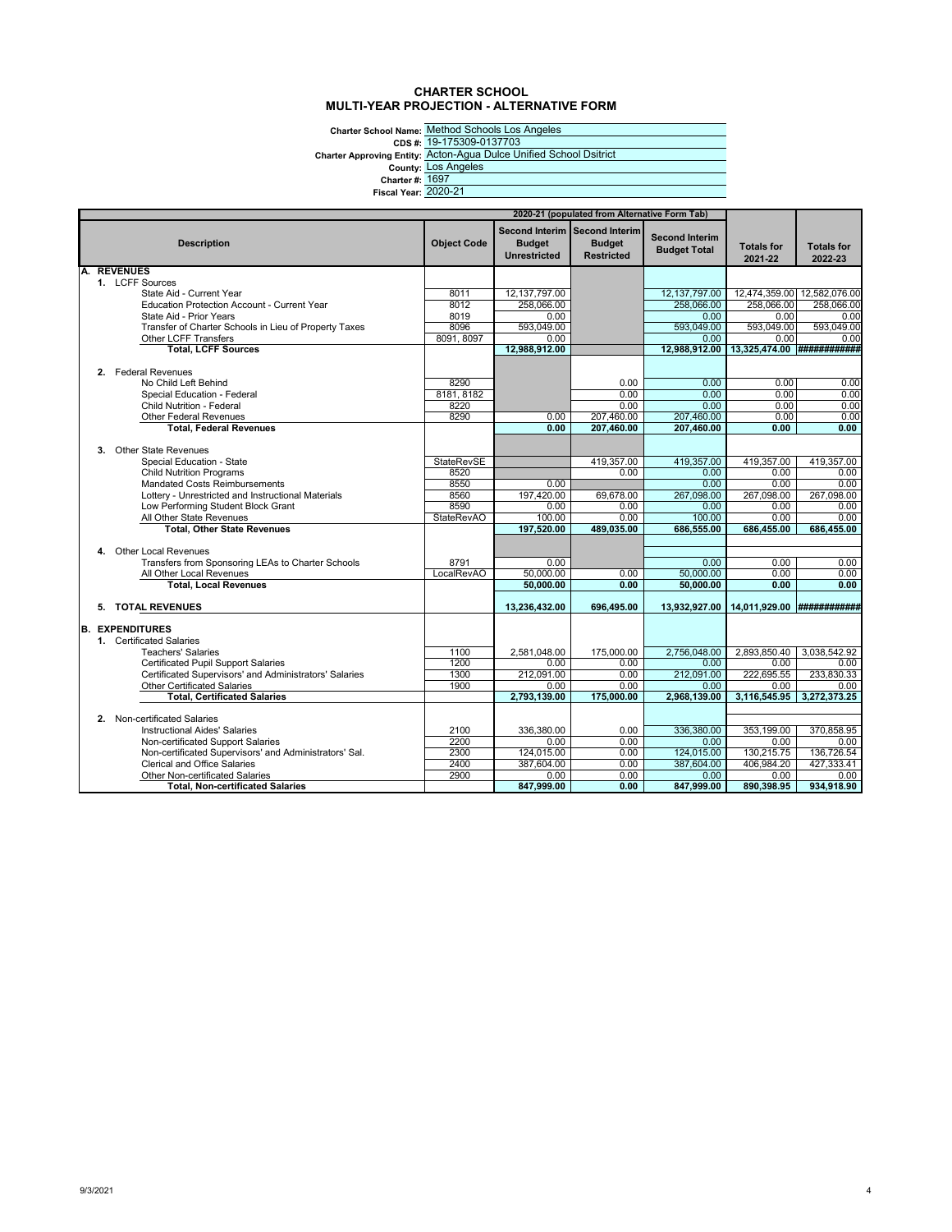### **CHARTER SCHOOL MULTI-YEAR PROJECTION - ALTERNATIVE FORM**

Charter School Name: <u>Method</u><br>CDS #: <u>19-1753</u><br>Charter Approving Entity: <u>Lots And</u><br>County: <u>Lots And</u><br>Charter #: <u>1697</u><br>Fiscal Year: 2020-21

Method Schools Los Angeles 19-175309-0137703 Acton-Agua Dulce Unified School Dsitrict Los Angeles 1697

| 2020-21 (populated from Alternative Form Tab) |                                                                                              |                    |                                      |                                                                     |                                              |                              |                              |
|-----------------------------------------------|----------------------------------------------------------------------------------------------|--------------------|--------------------------------------|---------------------------------------------------------------------|----------------------------------------------|------------------------------|------------------------------|
|                                               | <b>Description</b>                                                                           | <b>Object Code</b> | <b>Budget</b><br><b>Unrestricted</b> | Second Interim Second Interim<br><b>Budget</b><br><b>Restricted</b> | <b>Second Interim</b><br><b>Budget Total</b> | <b>Totals for</b><br>2021-22 | <b>Totals for</b><br>2022-23 |
| A.                                            | <b>REVENUES</b><br>1. LCFF Sources                                                           |                    |                                      |                                                                     |                                              |                              |                              |
|                                               | State Aid - Current Year                                                                     | 8011               | 12,137,797.00                        |                                                                     | 12,137,797.00                                | 12,474,359.00 12,582,076.00  |                              |
|                                               | <b>Education Protection Account - Current Year</b>                                           | 8012               | 258,066.00                           |                                                                     | 258,066.00                                   | 258,066.00                   | 258,066.00                   |
|                                               | State Aid - Prior Years                                                                      | 8019               | 0.00                                 |                                                                     | 0.00                                         | 0.00                         | 0.00                         |
|                                               | Transfer of Charter Schools in Lieu of Property Taxes                                        | 8096               | 593.049.00                           |                                                                     | 593.049.00                                   | 593.049.00                   | 593.049.00                   |
|                                               | Other LCFF Transfers                                                                         | 8091, 8097         | 0.00                                 |                                                                     | 0.00                                         | 0.00                         | 0.00                         |
|                                               | <b>Total, LCFF Sources</b>                                                                   |                    | 12,988,912.00                        |                                                                     | 12,988,912.00                                | 13,325,474.00 ############   |                              |
|                                               |                                                                                              |                    |                                      |                                                                     |                                              |                              |                              |
|                                               | 2. Federal Revenues                                                                          |                    |                                      |                                                                     |                                              |                              |                              |
|                                               | No Child Left Behind                                                                         | 8290               |                                      | 0.00                                                                | 0.00                                         | 0.00                         | 0.00                         |
|                                               | Special Education - Federal                                                                  | 8181, 8182         |                                      | 0.00                                                                | 0.00                                         | 0.00                         | 0.00                         |
|                                               | <b>Child Nutrition - Federal</b>                                                             | 8220               |                                      | 0.00                                                                | 0.00                                         | 0.00                         | 0.00                         |
|                                               | <b>Other Federal Revenues</b><br><b>Total. Federal Revenues</b>                              | 8290               | 0.00                                 | 207,460.00<br>207,460.00                                            | 207,460.00<br>207,460.00                     | 0.00<br>0.00                 | 0.00<br>0.00                 |
|                                               |                                                                                              |                    | 0.00                                 |                                                                     |                                              |                              |                              |
|                                               | 3. Other State Revenues                                                                      |                    |                                      |                                                                     |                                              |                              |                              |
|                                               | Special Education - State                                                                    | <b>StateRevSE</b>  |                                      | 419,357.00                                                          | 419,357.00                                   | 419,357.00                   | 419,357.00                   |
|                                               | <b>Child Nutrition Programs</b>                                                              | 8520               |                                      | 0.00                                                                | 0.00                                         | 0.00                         | 0.00                         |
|                                               | <b>Mandated Costs Reimbursements</b>                                                         | 8550               | 0.00                                 |                                                                     | 0.00                                         | 0.00                         | 0.00                         |
|                                               | Lottery - Unrestricted and Instructional Materials                                           | 8560               | 197,420.00                           | 69,678.00                                                           | 267,098.00                                   | 267,098.00                   | 267,098.00                   |
|                                               | Low Performing Student Block Grant                                                           | 8590               | 0.00                                 | 0.00                                                                | 0.00                                         | 0.00                         | 0.00                         |
|                                               | All Other State Revenues                                                                     | <b>StateRevAO</b>  | 100.00                               | 0.00                                                                | 100.00                                       | 0.00                         | 0.00                         |
|                                               | <b>Total, Other State Revenues</b>                                                           |                    | 197,520.00                           | 489,035.00                                                          | 686,555.00                                   | 686,455.00                   | 686,455.00                   |
|                                               |                                                                                              |                    |                                      |                                                                     |                                              |                              |                              |
|                                               | 4. Other Local Revenues                                                                      |                    |                                      |                                                                     |                                              |                              |                              |
|                                               | Transfers from Sponsoring LEAs to Charter Schools                                            | 8791               | 0.00                                 |                                                                     | 0.00                                         | 0.00                         | 0.00                         |
|                                               | All Other Local Revenues                                                                     | LocalRevAO         | 50,000.00                            | 0.00                                                                | 50,000.00                                    | 0.00                         | 0.00                         |
|                                               | <b>Total, Local Revenues</b>                                                                 |                    | 50.000.00                            | 0.00                                                                | 50.000.00                                    | 0.00                         | 0.00                         |
|                                               | 5. TOTAL REVENUES                                                                            |                    | 13,236,432.00                        | 696,495.00                                                          | 13,932,927.00                                | 14,011,929.00 ############   |                              |
|                                               |                                                                                              |                    |                                      |                                                                     |                                              |                              |                              |
|                                               | <b>B. EXPENDITURES</b>                                                                       |                    |                                      |                                                                     |                                              |                              |                              |
|                                               | 1. Certificated Salaries                                                                     |                    |                                      |                                                                     |                                              |                              |                              |
|                                               | <b>Teachers' Salaries</b>                                                                    | 1100               | 2.581.048.00                         | 175,000.00                                                          | 2,756,048.00                                 | 2,893,850.40                 | 3,038,542.92                 |
|                                               | <b>Certificated Pupil Support Salaries</b>                                                   | 1200               | 0.00<br>212,091.00                   | 0.00<br>0.00                                                        | 0.00<br>212,091.00                           | 0.00<br>222,695.55           | 0.00<br>233,830.33           |
|                                               | Certificated Supervisors' and Administrators' Salaries<br><b>Other Certificated Salaries</b> | 1300<br>1900       | 0.00                                 | 0.00                                                                | 0.00                                         | 0.00                         | 0.00                         |
|                                               | <b>Total, Certificated Salaries</b>                                                          |                    | 2,793,139.00                         | 175,000.00                                                          | 2,968,139.00                                 | 3,116,545.95 3,272,373.25    |                              |
|                                               |                                                                                              |                    |                                      |                                                                     |                                              |                              |                              |
|                                               | 2. Non-certificated Salaries                                                                 |                    |                                      |                                                                     |                                              |                              |                              |
|                                               | <b>Instructional Aides' Salaries</b>                                                         | 2100               | 336,380.00                           | 0.00                                                                | 336,380.00                                   | 353,199.00                   | 370.858.95                   |
|                                               | Non-certificated Support Salaries                                                            | 2200               | 0.00                                 | 0.00                                                                | 0.00                                         | 0.00                         | 0.00                         |
|                                               | Non-certificated Supervisors' and Administrators' Sal.                                       | 2300               | 124.015.00                           | 0.00                                                                | 124.015.00                                   | 130.215.75                   | 136,726.54                   |
|                                               | <b>Clerical and Office Salaries</b>                                                          | 2400               | 387,604.00                           | 0.00                                                                | 387,604.00                                   | 406,984.20                   | 427,333.41                   |
|                                               | <b>Other Non-certificated Salaries</b>                                                       | 2900               | 0.00                                 | 0.00                                                                | 0.00                                         | 0.00                         | 0.00                         |
|                                               | <b>Total, Non-certificated Salaries</b>                                                      |                    | 847,999.00                           | 0.00                                                                | 847,999.00                                   | 890,398.95                   | 934,918.90                   |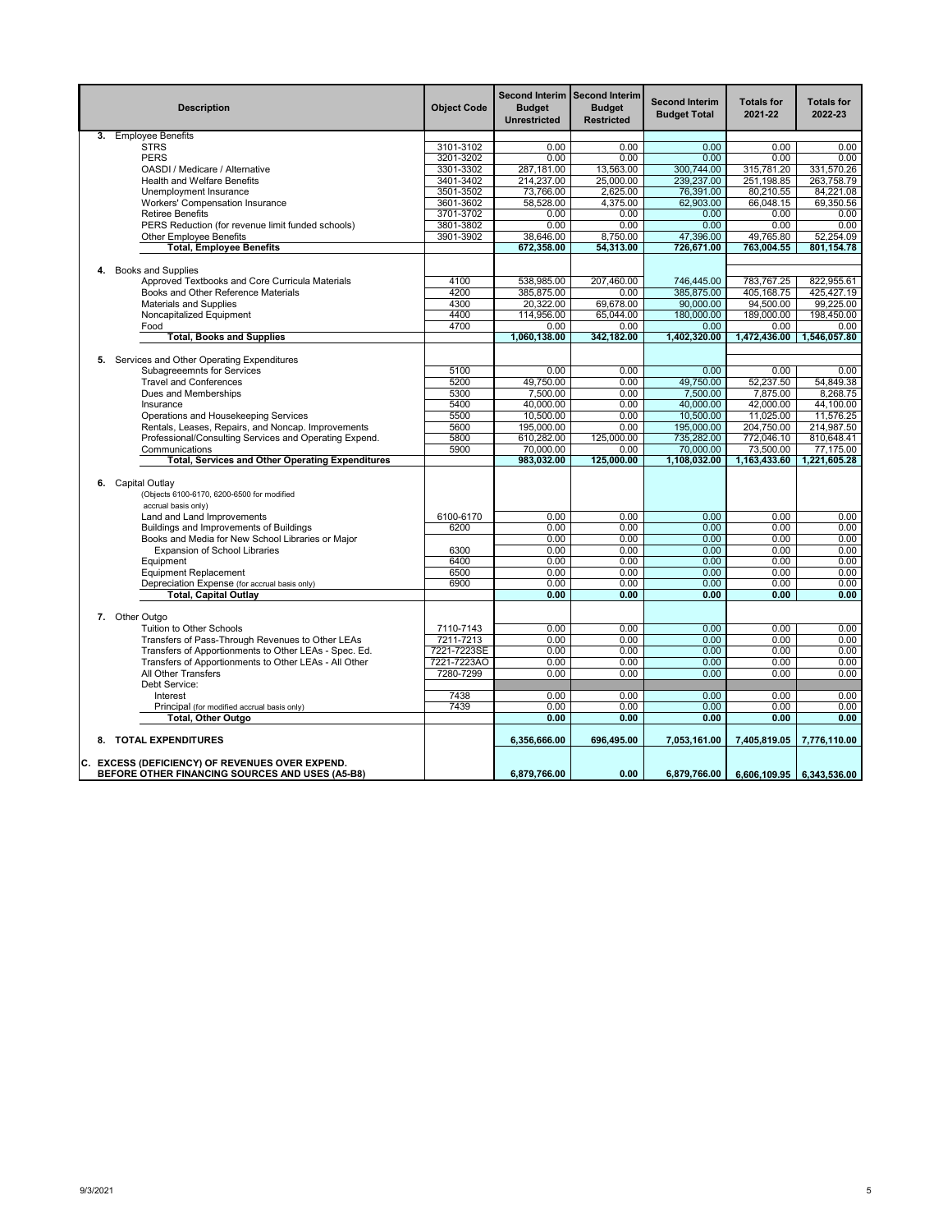|    | <b>Description</b>                                                                     | <b>Object Code</b> | Second Interim Second Interim<br><b>Budget</b><br><b>Unrestricted</b> | <b>Budget</b><br>Restricted | <b>Second Interim</b><br><b>Budget Total</b> | <b>Totals for</b><br>2021-22 | <b>Totals for</b><br>2022-23 |
|----|----------------------------------------------------------------------------------------|--------------------|-----------------------------------------------------------------------|-----------------------------|----------------------------------------------|------------------------------|------------------------------|
|    | 3. Employee Benefits                                                                   |                    |                                                                       |                             |                                              |                              |                              |
|    | <b>STRS</b>                                                                            | 3101-3102          | 0.00                                                                  | 0.00                        | 0.00                                         | 0.00                         | 0.00                         |
|    | <b>PERS</b>                                                                            | 3201-3202          | 0.00                                                                  | 0.00                        | 0.00                                         | 0.00                         | 0.00                         |
|    | OASDI / Medicare / Alternative                                                         | 3301-3302          | 287,181.00                                                            | 13,563.00                   | 300,744.00                                   | 315,781.20                   | 331,570.26                   |
|    | <b>Health and Welfare Benefits</b>                                                     | 3401-3402          | 214,237.00                                                            | 25,000.00                   | 239,237.00                                   | 251,198.85                   | 263,758.79                   |
|    | Unemployment Insurance                                                                 | 3501-3502          | 73,766.00                                                             | 2,625.00                    | 76,391.00                                    | 80,210.55                    | 84,221.08                    |
|    | Workers' Compensation Insurance                                                        | 3601-3602          | 58,528.00                                                             | 4,375.00                    | 62,903.00                                    | 66,048.15                    | 69,350.56                    |
|    | <b>Retiree Benefits</b>                                                                | 3701-3702          | 0.00                                                                  | 0.00                        | 0.00                                         | 0.00                         | 0.00                         |
|    | PERS Reduction (for revenue limit funded schools)                                      | 3801-3802          | 0.00                                                                  | 0.00                        | 0.00                                         | 0.00                         | 0.00                         |
|    | <b>Other Employee Benefits</b>                                                         | 3901-3902          | 38,646.00                                                             | 8,750.00                    | 47,396.00                                    | 49,765.80                    | 52,254.09                    |
|    | <b>Total, Employee Benefits</b>                                                        |                    | 672,358.00                                                            | 54,313.00                   | 726,671.00                                   | 763,004.55                   | 801,154.78                   |
|    |                                                                                        |                    |                                                                       |                             |                                              |                              |                              |
| 4. | <b>Books and Supplies</b>                                                              |                    |                                                                       |                             |                                              |                              |                              |
|    | Approved Textbooks and Core Curricula Materials                                        | 4100               | 538,985.00                                                            | 207,460.00                  | 746,445.00                                   | 783,767.25                   | 822,955.61                   |
|    | Books and Other Reference Materials                                                    | 4200               | 385,875.00                                                            | 0.00                        | 385,875.00                                   | 405,168.75                   | 425,427.19                   |
|    | <b>Materials and Supplies</b>                                                          | 4300               | 20,322.00                                                             | 69,678.00                   | 90,000.00                                    | 94,500.00                    | 99,225.00                    |
|    | Noncapitalized Equipment                                                               | 4400               | 114,956.00                                                            | 65,044.00                   | 180,000.00                                   | 189,000.00                   | 198,450.00                   |
|    | Food                                                                                   | 4700               | 0.00                                                                  | 0.00                        | 0.00                                         | 0.00                         | 0.00                         |
|    | <b>Total, Books and Supplies</b>                                                       |                    | 1,060,138.00                                                          | 342,182.00                  | 1,402,320.00                                 |                              | 1,472,436.00 1,546,057.80    |
|    |                                                                                        |                    |                                                                       |                             |                                              |                              |                              |
|    | 5. Services and Other Operating Expenditures                                           |                    |                                                                       |                             |                                              |                              |                              |
|    | <b>Subagreeemnts for Services</b>                                                      | 5100               | 0.00                                                                  | 0.00                        | 0.00                                         | 0.00                         | 0.00                         |
|    | <b>Travel and Conferences</b>                                                          | 5200               | 49,750.00                                                             | 0.00                        | 49,750.00                                    | 52,237.50                    | 54,849.38                    |
|    | Dues and Memberships                                                                   | 5300               | 7,500.00                                                              | 0.00                        | 7,500.00                                     | 7,875.00                     | 8.268.75                     |
|    | Insurance                                                                              | 5400               | 40,000.00                                                             | 0.00                        | 40,000.00                                    | 42,000.00                    | 44,100.00                    |
|    | Operations and Housekeeping Services                                                   | 5500               | 10,500.00                                                             | 0.00                        | 10,500.00                                    | 11,025.00                    | 11,576.25                    |
|    | Rentals, Leases, Repairs, and Noncap. Improvements                                     | 5600               | 195,000.00                                                            | 0.00                        | 195,000.00                                   | 204,750.00                   | 214,987.50                   |
|    | Professional/Consulting Services and Operating Expend.                                 | 5800               | 610,282.00                                                            | 125,000.00                  | 735,282.00                                   | 772,046.10                   | 810,648.41                   |
|    | Communications                                                                         | 5900               | 70,000.00                                                             | 0.00                        | 70,000.00                                    | 73,500.00                    | 77,175,00                    |
|    | <b>Total, Services and Other Operating Expenditures</b>                                |                    | 983,032.00                                                            | 125,000.00                  | 1,108,032.00                                 | 1,163,433.60                 | 1,221,605.28                 |
|    |                                                                                        |                    |                                                                       |                             |                                              |                              |                              |
|    | 6. Capital Outlay<br>(Objects 6100-6170, 6200-6500 for modified<br>accrual basis only) |                    |                                                                       |                             |                                              |                              |                              |
|    | Land and Land Improvements                                                             | 6100-6170          | 0.00                                                                  | 0.00                        | 0.00                                         | 0.00                         | 0.00                         |
|    | Buildings and Improvements of Buildings                                                | 6200               | 0.00                                                                  | 0.00                        | 0.00                                         | 0.00                         | 0.00                         |
|    | Books and Media for New School Libraries or Major                                      |                    | 0.00                                                                  | 0.00                        | 0.00                                         | 0.00                         | 0.00                         |
|    | <b>Expansion of School Libraries</b>                                                   | 6300               | 0.00                                                                  | 0.00                        | 0.00                                         | 0.00                         | 0.00                         |
|    | Equipment                                                                              | 6400               | 0.00                                                                  | 0.00                        | 0.00                                         | 0.00                         | 0.00                         |
|    | <b>Equipment Replacement</b>                                                           | 6500               | 0.00                                                                  | 0.00                        | 0.00                                         | 0.00                         | 0.00                         |
|    | Depreciation Expense (for accrual basis only)                                          | 6900               | 0.00                                                                  | 0.00                        | 0.00                                         | 0.00                         | 0.00                         |
|    | <b>Total, Capital Outlay</b>                                                           |                    | 0.00                                                                  | 0.00                        | 0.00                                         | 0.00                         | 0.00                         |
|    | 7. Other Outgo                                                                         |                    |                                                                       |                             |                                              |                              |                              |
|    | Tuition to Other Schools                                                               | 7110-7143          | 0.00                                                                  | 0.00                        | 0.00                                         | 0.00                         | 0.00                         |
|    | Transfers of Pass-Through Revenues to Other LEAs                                       | 7211-7213          | 0.00                                                                  | 0.00                        | 0.00                                         | 0.00                         | 0.00                         |
|    | Transfers of Apportionments to Other LEAs - Spec. Ed.                                  | 7221-7223SE        | 0.00                                                                  | 0.00                        | 0.00                                         | 0.00                         | 0.00                         |
|    | Transfers of Apportionments to Other LEAs - All Other                                  | 7221-7223AO        | 0.00                                                                  | 0.00                        | 0.00                                         | 0.00                         | 0.00                         |
|    | All Other Transfers                                                                    | 7280-7299          | 0.00                                                                  | 0.00                        | 0.00                                         | 0.00                         | 0.00                         |
|    | Debt Service:                                                                          |                    |                                                                       |                             |                                              |                              |                              |
|    | Interest                                                                               | 7438               | 0.00                                                                  | 0.00                        | 0.00                                         | 0.00                         | 0.00                         |
|    | Principal (for modified accrual basis only)                                            | 7439               | 0.00                                                                  | 0.00                        | 0.00                                         | 0.00                         | 0.00                         |
|    | Total, Other Outgo                                                                     |                    | 0.00                                                                  | 0.00                        | 0.00                                         | 0.00                         | 0.00                         |
|    | 8. TOTAL EXPENDITURES                                                                  |                    | 6,356,666.00                                                          | 696,495.00                  | 7,053,161.00                                 | 7,405,819.05                 | 7,776,110.00                 |
|    | C. EXCESS (DEFICIENCY) OF REVENUES OVER EXPEND.                                        |                    |                                                                       |                             |                                              |                              |                              |
|    | BEFORE OTHER FINANCING SOURCES AND USES (A5-B8)                                        |                    | 6.879.766.00                                                          | 0.00                        | 6,879,766.00                                 |                              | 6,606,109.95 6,343,536.00    |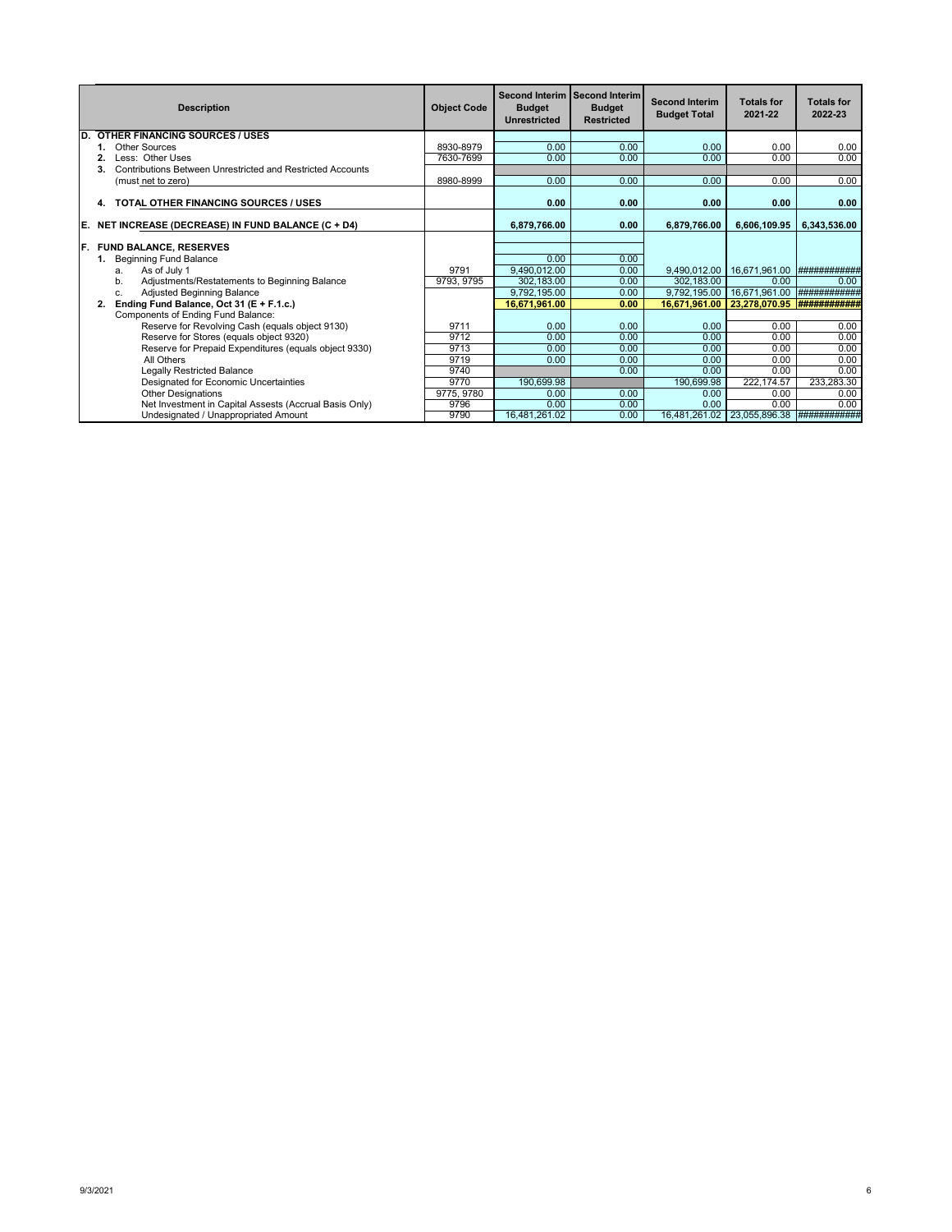|    | <b>Description</b>                                                      | <b>Object Code</b> | <b>Budget</b><br><b>Unrestricted</b> | Second Interim Second Interim<br><b>Budget</b><br><b>Restricted</b> | <b>Second Interim</b><br><b>Budget Total</b> | <b>Totals for</b><br>2021-22 | <b>Totals for</b><br>2022-23 |
|----|-------------------------------------------------------------------------|--------------------|--------------------------------------|---------------------------------------------------------------------|----------------------------------------------|------------------------------|------------------------------|
| D. | <b>OTHER FINANCING SOURCES / USES</b>                                   |                    |                                      |                                                                     |                                              |                              |                              |
|    | Other Sources                                                           | 8930-8979          | 0.00                                 | 0.00                                                                | 0.00                                         | 0.00                         | 0.00                         |
|    | Less: Other Uses                                                        | 7630-7699          | 0.00                                 | 0.00                                                                | 0.00                                         | 0.00                         | 0.00                         |
|    | <b>Contributions Between Unrestricted and Restricted Accounts</b><br>3. |                    |                                      |                                                                     |                                              |                              |                              |
|    | (must net to zero)                                                      | 8980-8999          | 0.00                                 | 0.00                                                                | 0.00                                         | 0.00                         | 0.00                         |
|    | <b>TOTAL OTHER FINANCING SOURCES / USES</b><br>4.                       |                    | 0.00                                 | 0.00                                                                | 0.00                                         | 0.00                         | 0.00                         |
| Е. | NET INCREASE (DECREASE) IN FUND BALANCE (C + D4)                        |                    | 6.879.766.00                         | 0.00                                                                | 6,879,766.00                                 | 6,606,109.95                 | 6.343.536.00                 |
|    |                                                                         |                    |                                      |                                                                     |                                              |                              |                              |
| F. | <b>FUND BALANCE, RESERVES</b>                                           |                    |                                      |                                                                     |                                              |                              |                              |
|    | <b>Beginning Fund Balance</b><br>1.                                     |                    | 0.00                                 | 0.00                                                                |                                              |                              |                              |
|    | As of July 1<br>a.                                                      | 9791               | 9.490.012.00                         | 0.00                                                                | 9.490.012.00                                 | 16.671.961.00                | <b>############</b>          |
|    | Adjustments/Restatements to Beginning Balance<br>b.                     | 9793, 9795         | 302.183.00                           | 0.00                                                                | 302.183.00                                   | 0.00                         | 0.00                         |
|    | <b>Adjusted Beginning Balance</b><br>C.                                 |                    | 9.792.195.00                         | 0.00                                                                | 9.792.195.00                                 | 16,671,961.00                | ###########                  |
|    | Ending Fund Balance, Oct 31 (E + F.1.c.)<br>2.                          |                    | 16,671,961.00                        | 0.00                                                                | 16.671.961.00                                | 23,278,070.95                |                              |
|    | Components of Ending Fund Balance:                                      |                    |                                      |                                                                     |                                              |                              |                              |
|    | Reserve for Revolving Cash (equals object 9130)                         | 9711               | 0.00                                 | 0.00                                                                | 0.00                                         | 0.00                         | 0.00                         |
|    | Reserve for Stores (equals object 9320)                                 | 9712               | 0.00                                 | 0.00                                                                | 0.00                                         | 0.00                         | 0.00                         |
|    | Reserve for Prepaid Expenditures (equals object 9330)                   | 9713               | 0.00                                 | 0.00                                                                | 0.00                                         | 0.00                         | 0.00                         |
|    | All Others                                                              | 9719               | 0.00                                 | 0.00                                                                | 0.00                                         | 0.00                         | 0.00                         |
|    | <b>Legally Restricted Balance</b>                                       | 9740               |                                      | 0.00                                                                | 0.00                                         | 0.00                         | 0.00                         |
|    | Designated for Economic Uncertainties                                   | 9770               | 190,699.98                           |                                                                     | 190,699.98                                   | 222, 174.57                  | 233,283.30                   |
|    | <b>Other Designations</b>                                               | 9775, 9780         | 0.00                                 | 0.00                                                                | 0.00                                         | 0.00                         | 0.00                         |
|    | Net Investment in Capital Assests (Accrual Basis Only)                  | 9796               | 0.00                                 | 0.00                                                                | 0.00                                         | 0.00                         | 0.00                         |
|    | Undesignated / Unappropriated Amount                                    | 9790               | 16.481.261.02                        | 0.00                                                                |                                              | 16,481,261.02 23,055,896.38  | ############                 |